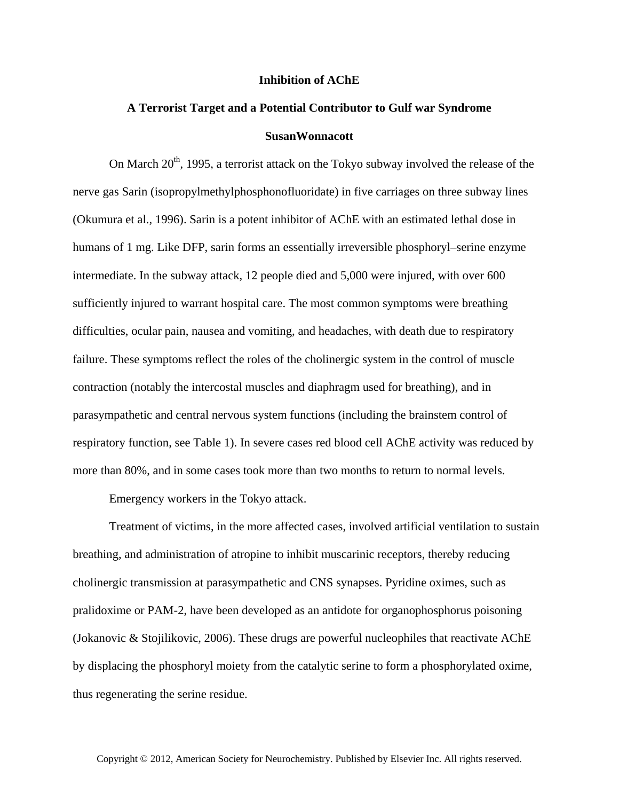## **Inhibition of AChE**

## **A Terrorist Target and a Potential Contributor to Gulf war Syndrome SusanWonnacott**

On March  $20<sup>th</sup>$ , 1995, a terrorist attack on the Tokyo subway involved the release of the nerve gas Sarin (isopropylmethylphosphonofluoridate) in five carriages on three subway lines (Okumura et al., 1996). Sarin is a potent inhibitor of AChE with an estimated lethal dose in humans of 1 mg. Like DFP, sarin forms an essentially irreversible phosphoryl–serine enzyme intermediate. In the subway attack, 12 people died and 5,000 were injured, with over 600 sufficiently injured to warrant hospital care. The most common symptoms were breathing difficulties, ocular pain, nausea and vomiting, and headaches, with death due to respiratory failure. These symptoms reflect the roles of the cholinergic system in the control of muscle contraction (notably the intercostal muscles and diaphragm used for breathing), and in parasympathetic and central nervous system functions (including the brainstem control of respiratory function, see Table 1). In severe cases red blood cell AChE activity was reduced by more than 80%, and in some cases took more than two months to return to normal levels.

Emergency workers in the Tokyo attack.

Treatment of victims, in the more affected cases, involved artificial ventilation to sustain breathing, and administration of atropine to inhibit muscarinic receptors, thereby reducing cholinergic transmission at parasympathetic and CNS synapses. Pyridine oximes, such as pralidoxime or PAM-2, have been developed as an antidote for organophosphorus poisoning (Jokanovic & Stojilikovic, 2006). These drugs are powerful nucleophiles that reactivate AChE by displacing the phosphoryl moiety from the catalytic serine to form a phosphorylated oxime, thus regenerating the serine residue.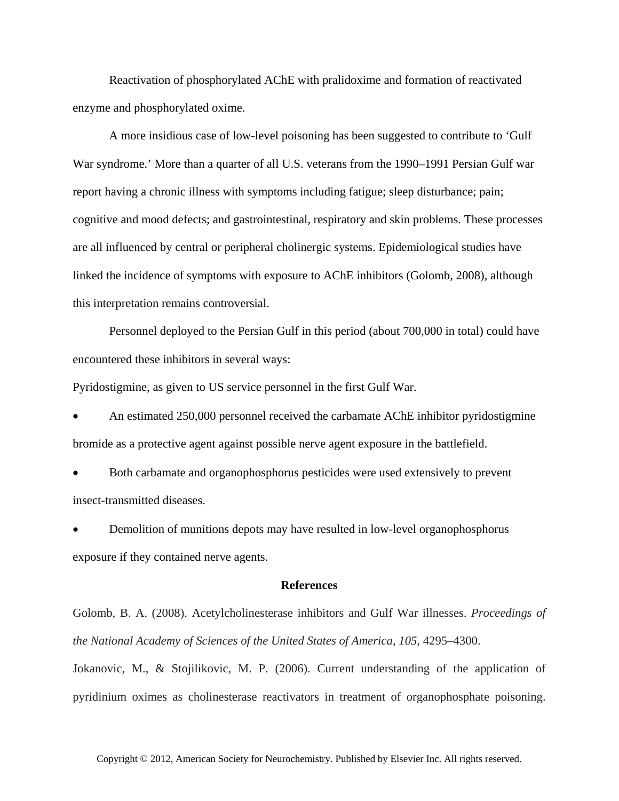Reactivation of phosphorylated AChE with pralidoxime and formation of reactivated enzyme and phosphorylated oxime.

A more insidious case of low-level poisoning has been suggested to contribute to 'Gulf War syndrome.' More than a quarter of all U.S. veterans from the 1990–1991 Persian Gulf war report having a chronic illness with symptoms including fatigue; sleep disturbance; pain; cognitive and mood defects; and gastrointestinal, respiratory and skin problems. These processes are all influenced by central or peripheral cholinergic systems. Epidemiological studies have linked the incidence of symptoms with exposure to AChE inhibitors (Golomb, 2008), although this interpretation remains controversial.

Personnel deployed to the Persian Gulf in this period (about 700,000 in total) could have encountered these inhibitors in several ways:

Pyridostigmine, as given to US service personnel in the first Gulf War.

 An estimated 250,000 personnel received the carbamate AChE inhibitor pyridostigmine bromide as a protective agent against possible nerve agent exposure in the battlefield.

 Both carbamate and organophosphorus pesticides were used extensively to prevent insect-transmitted diseases.

 Demolition of munitions depots may have resulted in low-level organophosphorus exposure if they contained nerve agents.

## **References**

Golomb, B. A. (2008). Acetylcholinesterase inhibitors and Gulf War illnesses. *Proceedings of the National Academy of Sciences of the United States of America*, *105*, 4295–4300.

Jokanovic, M., & Stojilikovic, M. P. (2006). Current understanding of the application of pyridinium oximes as cholinesterase reactivators in treatment of organophosphate poisoning.